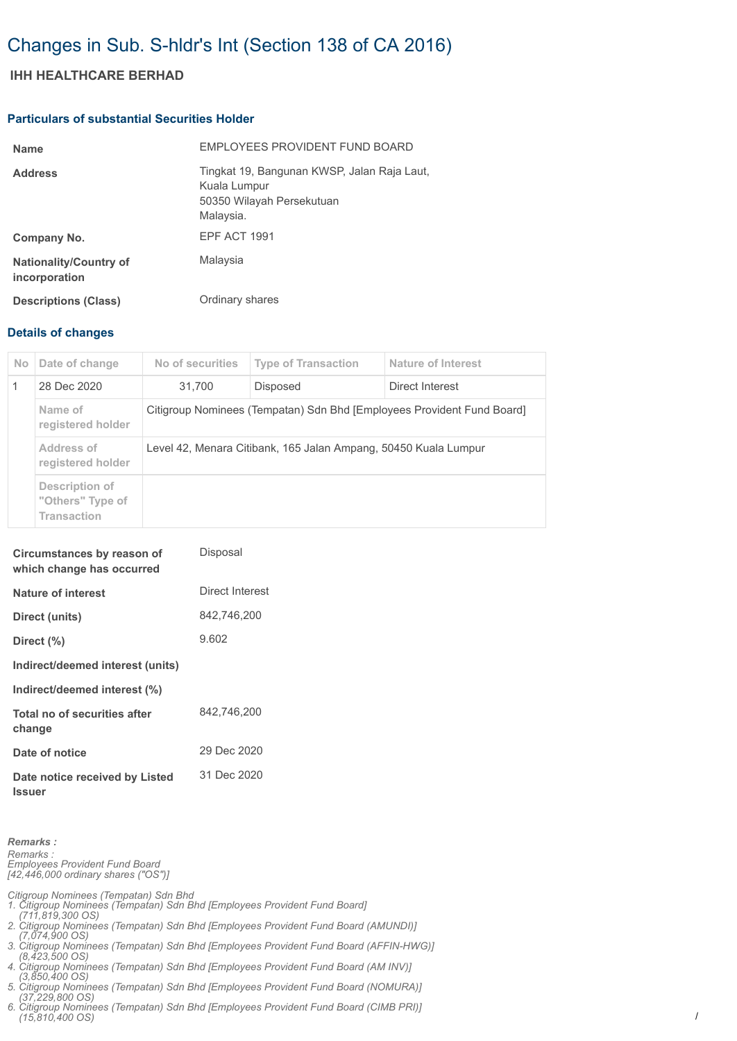# Changes in Sub. S-hldr's Int (Section 138 of CA 2016)

## **IHH HEALTHCARE BERHAD**

#### **Particulars of substantial Securities Holder**

| <b>Name</b>                                    | EMPLOYEES PROVIDENT FUND BOARD                                                                        |
|------------------------------------------------|-------------------------------------------------------------------------------------------------------|
| <b>Address</b>                                 | Tingkat 19, Bangunan KWSP, Jalan Raja Laut,<br>Kuala Lumpur<br>50350 Wilayah Persekutuan<br>Malaysia. |
| Company No.                                    | EPF ACT 1991                                                                                          |
| <b>Nationality/Country of</b><br>incorporation | Malaysia                                                                                              |
| <b>Descriptions (Class)</b>                    | Ordinary shares                                                                                       |

### **Details of changes**

| No.          | Date of change                                           | No of securities                                                       | <b>Type of Transaction</b> | Nature of Interest |  |
|--------------|----------------------------------------------------------|------------------------------------------------------------------------|----------------------------|--------------------|--|
| $\mathbf{1}$ | 28 Dec 2020                                              | 31.700                                                                 | <b>Disposed</b>            | Direct Interest    |  |
|              | Name of<br>registered holder                             | Citigroup Nominees (Tempatan) Sdn Bhd [Employees Provident Fund Board] |                            |                    |  |
|              | Address of<br>registered holder                          | Level 42, Menara Citibank, 165 Jalan Ampang, 50450 Kuala Lumpur        |                            |                    |  |
|              | Description of<br>"Others" Type of<br><b>Transaction</b> |                                                                        |                            |                    |  |

| Circumstances by reason of<br>which change has occurred | Disposal        |
|---------------------------------------------------------|-----------------|
| Nature of interest                                      | Direct Interest |
| Direct (units)                                          | 842.746.200     |
| Direct (%)                                              | 9.602           |
| Indirect/deemed interest (units)                        |                 |
| Indirect/deemed interest (%)                            |                 |
| Total no of securities after<br>change                  | 842,746,200     |
| Date of notice                                          | 29 Dec 2020     |
| Date notice received by Listed<br><b>Issuer</b>         | 31 Dec 2020     |

*Remarks : Remarks : Employees Provident Fund Board [42,446,000 ordinary shares ("OS")]*

*Citigroup Nominees (Tempatan) Sdn Bhd 1. Citigroup Nominees (Tempatan) Sdn Bhd [Employees Provident Fund Board] (711,819,300 OS) 2. Citigroup Nominees (Tempatan) Sdn Bhd [Employees Provident Fund Board (AMUNDI)]* 

- *(7,074,900 OS) 3. Citigroup Nominees (Tempatan) Sdn Bhd [Employees Provident Fund Board (AFFIN-HWG)]*
- *(8,423,500 OS) 4. Citigroup Nominees (Tempatan) Sdn Bhd [Employees Provident Fund Board (AM INV)]*
- *(3,850,400 OS)*
- *5. Citigroup Nominees (Tempatan) Sdn Bhd [Employees Provident Fund Board (NOMURA)] (37,229,800 OS)*
- *6. Citigroup Nominees (Tempatan) Sdn Bhd [Employees Provident Fund Board (CIMB PRI)] (15,810,400 OS)*